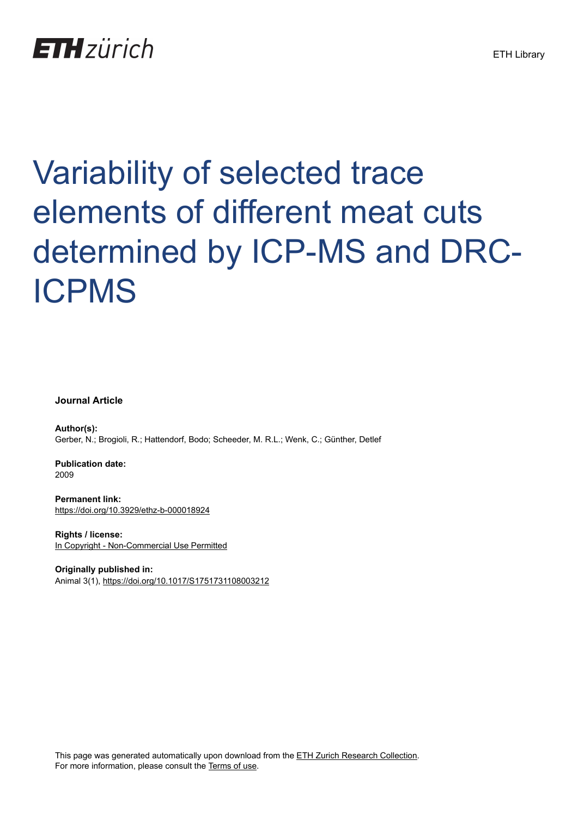## **ETH**zürich

# Variability of selected trace elements of different meat cuts determined by ICP-MS and DRC-ICPMS

#### **Journal Article**

**Author(s):** Gerber, N.; Brogioli, R.; Hattendorf, Bodo; Scheeder, M. R.L.; Wenk, C.; Günther, Detlef

**Publication date:** 2009

**Permanent link:** <https://doi.org/10.3929/ethz-b-000018924>

**Rights / license:** [In Copyright - Non-Commercial Use Permitted](http://rightsstatements.org/page/InC-NC/1.0/)

**Originally published in:** Animal 3(1), <https://doi.org/10.1017/S1751731108003212>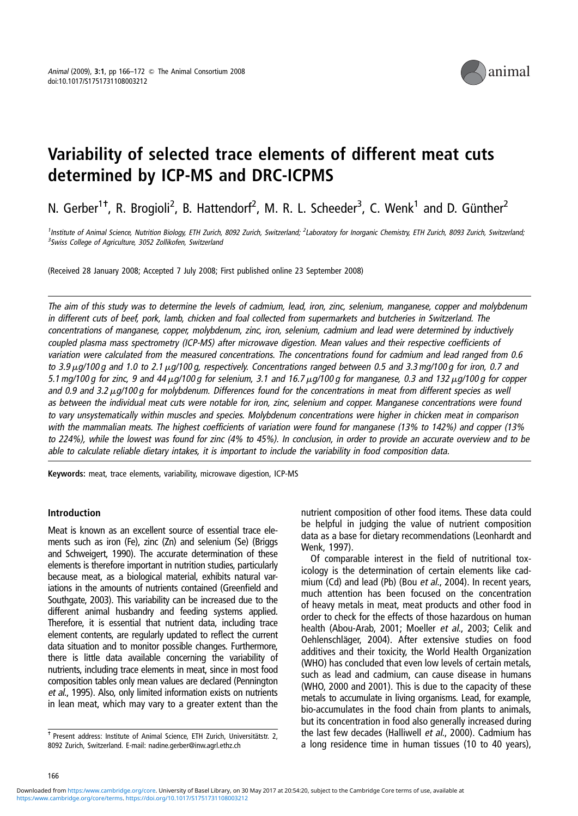

### Variability of selected trace elements of different meat cuts determined by ICP-MS and DRC-ICPMS

N. Gerber<sup>1†</sup>, R. Brogioli<sup>2</sup>, B. Hattendorf<sup>2</sup>, M. R. L. Scheeder<sup>3</sup>, C. Wenk<sup>1</sup> and D. Günther<sup>2</sup>

<sup>1</sup>Institute of Animal Science, Nutrition Biology, ETH Zurich, 8092 Zurich, Switzerland; <sup>2</sup>Laboratory for Inorganic Chemistry, ETH Zurich, 8093 Zurich, Switzerland, <sup>3</sup>Swiss College of Agriculture, 3052 Zollikofen, Switzerland

(Received 28 January 2008; Accepted 7 July 2008; First published online 23 September 2008)

The aim of this study was to determine the levels of cadmium, lead, iron, zinc, selenium, manganese, copper and molybdenum in different cuts of beef, pork, lamb, chicken and foal collected from supermarkets and butcheries in Switzerland. The concentrations of manganese, copper, molybdenum, zinc, iron, selenium, cadmium and lead were determined by inductively coupled plasma mass spectrometry (ICP-MS) after microwave digestion. Mean values and their respective coefficients of variation were calculated from the measured concentrations. The concentrations found for cadmium and lead ranged from 0.6 to 3.9  $\mu$ a/100 g and 1.0 to 2.1  $\mu$ a/100 a, respectively. Concentrations ranged between 0.5 and 3.3 ma/100 g for iron, 0.7 and 5.1 mg/100 g for zinc, 9 and 44  $\mu$ g/100 g for selenium, 3.1 and 16.7  $\mu$ g/100 g for manganese, 0.3 and 132  $\mu$ g/100 g for copper and 0.9 and 3.2  $\mu$ q/100 g for molybdenum. Differences found for the concentrations in meat from different species as well as between the individual meat cuts were notable for iron, zinc, selenium and copper. Manganese concentrations were found to vary unsystematically within muscles and species. Molybdenum concentrations were higher in chicken meat in comparison with the mammalian meats. The highest coefficients of variation were found for manganese (13% to 142%) and copper (13% to 224%), while the lowest was found for zinc (4% to 45%). In conclusion, in order to provide an accurate overview and to be able to calculate reliable dietary intakes, it is important to include the variability in food composition data.

Keywords: meat, trace elements, variability, microwave digestion, ICP-MS

#### Introduction

Meat is known as an excellent source of essential trace elements such as iron (Fe), zinc (Zn) and selenium (Se) (Briggs and Schweigert, 1990). The accurate determination of these elements is therefore important in nutrition studies, particularly because meat, as a biological material, exhibits natural variations in the amounts of nutrients contained (Greenfield and Southgate, 2003). This variability can be increased due to the different animal husbandry and feeding systems applied. Therefore, it is essential that nutrient data, including trace element contents, are regularly updated to reflect the current data situation and to monitor possible changes. Furthermore, there is little data available concerning the variability of nutrients, including trace elements in meat, since in most food composition tables only mean values are declared (Pennington et al., 1995). Also, only limited information exists on nutrients in lean meat, which may vary to a greater extent than the

nutrient composition of other food items. These data could be helpful in judging the value of nutrient composition data as a base for dietary recommendations (Leonhardt and Wenk, 1997).

Of comparable interest in the field of nutritional toxicology is the determination of certain elements like cadmium (Cd) and lead (Pb) (Bou et al., 2004). In recent years, much attention has been focused on the concentration of heavy metals in meat, meat products and other food in order to check for the effects of those hazardous on human health (Abou-Arab, 2001; Moeller *et al.*, 2003; Celik and Oehlenschläger, 2004). After extensive studies on food additives and their toxicity, the World Health Organization (WHO) has concluded that even low levels of certain metals, such as lead and cadmium, can cause disease in humans (WHO, 2000 and 2001). This is due to the capacity of these metals to accumulate in living organisms. Lead, for example, bio-accumulates in the food chain from plants to animals, but its concentration in food also generally increased during the last few decades (Halliwell et al., 2000). Cadmium has a long residence time in human tissues (10 to 40 years),

<sup>&</sup>lt;sup>+</sup> Present address: Institute of Animal Science, ETH Zurich, Universitätstr. 2, 8092 Zurich, Switzerland. E-mail: nadine.gerber@inw.agrl.ethz.ch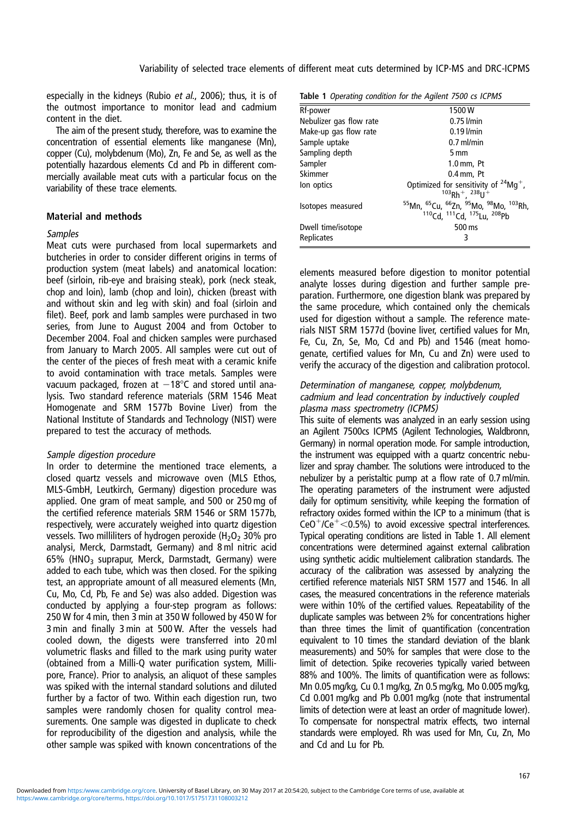especially in the kidneys (Rubio et al., 2006); thus, it is of the outmost importance to monitor lead and cadmium content in the diet.

The aim of the present study, therefore, was to examine the concentration of essential elements like manganese (Mn), copper (Cu), molybdenum (Mo), Zn, Fe and Se, as well as the potentially hazardous elements Cd and Pb in different commercially available meat cuts with a particular focus on the variability of these trace elements.

#### Material and methods

#### Samples

Meat cuts were purchased from local supermarkets and butcheries in order to consider different origins in terms of production system (meat labels) and anatomical location: beef (sirloin, rib-eye and braising steak), pork (neck steak, chop and loin), lamb (chop and loin), chicken (breast with and without skin and leg with skin) and foal (sirloin and filet). Beef, pork and lamb samples were purchased in two series, from June to August 2004 and from October to December 2004. Foal and chicken samples were purchased from January to March 2005. All samples were cut out of the center of the pieces of fresh meat with a ceramic knife to avoid contamination with trace metals. Samples were vacuum packaged, frozen at  $-18^{\circ}$ C and stored until analysis. Two standard reference materials (SRM 1546 Meat Homogenate and SRM 1577b Bovine Liver) from the National Institute of Standards and Technology (NIST) were prepared to test the accuracy of methods.

#### Sample digestion procedure

In order to determine the mentioned trace elements, a closed quartz vessels and microwave oven (MLS Ethos, MLS-GmbH, Leutkirch, Germany) digestion procedure was applied. One gram of meat sample, and 500 or 250 mg of the certified reference materials SRM 1546 or SRM 1577b, respectively, were accurately weighed into quartz digestion vessels. Two milliliters of hydrogen peroxide  $(H_2O_2 30\%$  pro analysi, Merck, Darmstadt, Germany) and 8 ml nitric acid 65% (HNO3 suprapur, Merck, Darmstadt, Germany) were added to each tube, which was then closed. For the spiking test, an appropriate amount of all measured elements (Mn, Cu, Mo, Cd, Pb, Fe and Se) was also added. Digestion was conducted by applying a four-step program as follows: 250 W for 4 min, then 3 min at 350 W followed by 450 W for 3 min and finally 3 min at 500 W. After the vessels had cooled down, the digests were transferred into 20 ml volumetric flasks and filled to the mark using purity water (obtained from a Milli-Q water purification system, Millipore, France). Prior to analysis, an aliquot of these samples was spiked with the internal standard solutions and diluted further by a factor of two. Within each digestion run, two samples were randomly chosen for quality control measurements. One sample was digested in duplicate to check for reproducibility of the digestion and analysis, while the other sample was spiked with known concentrations of the

Table 1 Operating condition for the Agilent 7500 cs ICPMS

|                         | <b>Ravic T</b> Operating condition for the right-it 1500 to fer mo                                                                                                                         |
|-------------------------|--------------------------------------------------------------------------------------------------------------------------------------------------------------------------------------------|
| Rf-power                | 1500W                                                                                                                                                                                      |
| Nebulizer gas flow rate | $0.75$ $l/min$                                                                                                                                                                             |
| Make-up gas flow rate   | $0.19$ $l/min$                                                                                                                                                                             |
| Sample uptake           | $0.7$ ml/min                                                                                                                                                                               |
| Sampling depth          | 5 mm                                                                                                                                                                                       |
| Sampler                 | $1.0$ mm, Pt                                                                                                                                                                               |
| Skimmer                 | $0.4$ mm, Pt                                                                                                                                                                               |
| lon optics              | Optimized for sensitivity of $24Mg^+$ ,<br>$103Rh$ <sup>+</sup> , $238U$ <sup>+</sup>                                                                                                      |
| Isotopes measured       | <sup>55</sup> Mn, <sup>65</sup> Cu, <sup>66</sup> Zn, <sup>95</sup> Mo, <sup>98</sup> Mo, <sup>103</sup> Rh,<br><sup>110</sup> Cd, <sup>111</sup> Cd, <sup>175</sup> Lu, <sup>208</sup> Pb |
| Dwell time/isotope      | 500 ms                                                                                                                                                                                     |
| Replicates              | 3                                                                                                                                                                                          |

elements measured before digestion to monitor potential analyte losses during digestion and further sample preparation. Furthermore, one digestion blank was prepared by the same procedure, which contained only the chemicals used for digestion without a sample. The reference materials NIST SRM 1577d (bovine liver, certified values for Mn, Fe, Cu, Zn, Se, Mo, Cd and Pb) and 1546 (meat homogenate, certified values for Mn, Cu and Zn) were used to verify the accuracy of the digestion and calibration protocol.

#### Determination of manganese, copper, molybdenum, cadmium and lead concentration by inductively coupled plasma mass spectrometry (ICPMS)

This suite of elements was analyzed in an early session using an Agilent 7500cs ICPMS (Agilent Technologies, Waldbronn, Germany) in normal operation mode. For sample introduction, the instrument was equipped with a quartz concentric nebulizer and spray chamber. The solutions were introduced to the nebulizer by a peristaltic pump at a flow rate of 0.7 ml/min. The operating parameters of the instrument were adjusted daily for optimum sensitivity, while keeping the formation of refractory oxides formed within the ICP to a minimum (that is  $CeO<sup>+</sup>/Ce<sup>+</sup> < 0.5%$ ) to avoid excessive spectral interferences. Typical operating conditions are listed in Table 1. All element concentrations were determined against external calibration using synthetic acidic multielement calibration standards. The accuracy of the calibration was assessed by analyzing the certified reference materials NIST SRM 1577 and 1546. In all cases, the measured concentrations in the reference materials were within 10% of the certified values. Repeatability of the duplicate samples was between 2% for concentrations higher than three times the limit of quantification (concentration equivalent to 10 times the standard deviation of the blank measurements) and 50% for samples that were close to the limit of detection. Spike recoveries typically varied between 88% and 100%. The limits of quantification were as follows: Mn 0.05 mg/kg, Cu 0.1 mg/kg, Zn 0.5 mg/kg, Mo 0.005 mg/kg, Cd 0.001 mg/kg and Pb 0.001 mg/kg (note that instrumental limits of detection were at least an order of magnitude lower). To compensate for nonspectral matrix effects, two internal standards were employed. Rh was used for Mn, Cu, Zn, Mo and Cd and Lu for Pb.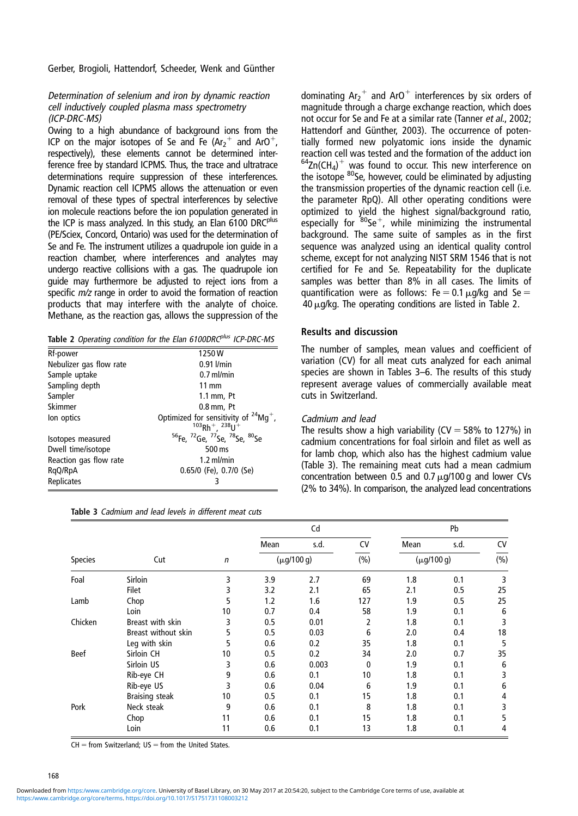Gerber, Brogioli, Hattendorf, Scheeder, Wenk and Günther

#### Determination of selenium and iron by dynamic reaction cell inductively coupled plasma mass spectrometry (ICP-DRC-MS)

Owing to a high abundance of background ions from the ICP on the major isotopes of Se and Fe  $(Ar_2^+)$  and ArO<sup>+</sup>, respectively), these elements cannot be determined interference free by standard ICPMS. Thus, the trace and ultratrace determinations require suppression of these interferences. Dynamic reaction cell ICPMS allows the attenuation or even removal of these types of spectral interferences by selective ion molecule reactions before the ion population generated in the ICP is mass analyzed. In this study, an Elan 6100 DRC<sup>plus</sup> (PE/Sciex, Concord, Ontario) was used for the determination of Se and Fe. The instrument utilizes a quadrupole ion guide in a reaction chamber, where interferences and analytes may undergo reactive collisions with a gas. The quadrupole ion guide may furthermore be adjusted to reject ions from a specific  $m/z$  range in order to avoid the formation of reaction products that may interfere with the analyte of choice. Methane, as the reaction gas, allows the suppression of the

|  |  |  |  |  |  | Table 2 Operating condition for the Elan 6100DRC <sup>plus</sup> ICP-DRC-MS |
|--|--|--|--|--|--|-----------------------------------------------------------------------------|
|--|--|--|--|--|--|-----------------------------------------------------------------------------|

| Rf-power                | 1250W                                                                                                  |
|-------------------------|--------------------------------------------------------------------------------------------------------|
| Nebulizer gas flow rate | $0.91$ $l/min$                                                                                         |
| Sample uptake           | $0.7$ ml/min                                                                                           |
| Sampling depth          | $11 \text{ mm}$                                                                                        |
| Sampler                 | $1.1$ mm, Pt                                                                                           |
| Skimmer                 | $0.8$ mm, Pt                                                                                           |
| lon optics              | Optimized for sensitivity of $^{24}$ Mg <sup>+</sup> ,<br>$103$ Rh <sup>+</sup> , $238$ U <sup>+</sup> |
| Isotopes measured       | <sup>56</sup> Fe, <sup>72</sup> Ge, <sup>77</sup> Se, <sup>78</sup> Se, <sup>80</sup> Se               |
| Dwell time/isotope      | 500 ms                                                                                                 |
| Reaction gas flow rate  | $1.2$ ml/min                                                                                           |
| RgQ/RpA                 | $0.65/0$ (Fe), $0.7/0$ (Se)                                                                            |
| Replicates              | 3                                                                                                      |

| Table 3 Cadmium and lead levels in different meat cuts |  |  |  |  |  |  |  |  |  |  |
|--------------------------------------------------------|--|--|--|--|--|--|--|--|--|--|
|--------------------------------------------------------|--|--|--|--|--|--|--|--|--|--|

dominating  $Ar_2^+$  and ArO<sup>+</sup> interferences by six orders of magnitude through a charge exchange reaction, which does not occur for Se and Fe at a similar rate (Tanner et al., 2002; Hattendorf and Günther, 2003). The occurrence of potentially formed new polyatomic ions inside the dynamic reaction cell was tested and the formation of the adduct ion  $64$ Zn(CH<sub>4</sub>)<sup>+</sup> was found to occur. This new interference on the isotope <sup>80</sup>Se, however, could be eliminated by adjusting the transmission properties of the dynamic reaction cell (i.e. the parameter RpQ). All other operating conditions were optimized to yield the highest signal/background ratio, especially for  ${}^{80}Se^+$ , while minimizing the instrumental background. The same suite of samples as in the first sequence was analyzed using an identical quality control scheme, except for not analyzing NIST SRM 1546 that is not certified for Fe and Se. Repeatability for the duplicate samples was better than 8% in all cases. The limits of quantification were as follows:  $Fe = 0.1 \mu$ g/kg and Se  $=$  $40 \mu$ g/kg. The operating conditions are listed in Table 2.

#### Results and discussion

The number of samples, mean values and coefficient of variation (CV) for all meat cuts analyzed for each animal species are shown in Tables 3–6. The results of this study represent average values of commercially available meat cuts in Switzerland.

#### Cadmium and lead

The results show a high variability ( $CV = 58\%$  to 127%) in cadmium concentrations for foal sirloin and filet as well as for lamb chop, which also has the highest cadmium value (Table 3). The remaining meat cuts had a mean cadmium concentration between 0.5 and 0.7  $\mu$ g/100 g and lower CVs (2% to 34%). In comparison, the analyzed lead concentrations

|             |                       |                 |      | Cd              |     | Pb              |      |     |
|-------------|-----------------------|-----------------|------|-----------------|-----|-----------------|------|-----|
|             |                       |                 | Mean | s.d.            | CV  | Mean            | s.d. | CV  |
| Species     | Cut                   | $\mathsf{n}$    |      | $(\mu g/100 g)$ | (%) | $(\mu q/100 q)$ |      | (%) |
| Foal        | <b>Sirloin</b>        | 3               | 3.9  | 2.7             | 69  | 1.8             | 0.1  | 3   |
|             | <b>Filet</b>          |                 | 3.2  | 2.1             | 65  | 2.1             | 0.5  | 25  |
| Lamb        | Chop                  | 5               | 1.2  | 1.6             | 127 | 1.9             | 0.5  | 25  |
|             | Loin                  | 10              | 0.7  | 0.4             | 58  | 1.9             | 0.1  | 6   |
| Chicken     | Breast with skin      | 3               | 0.5  | 0.01            | 2   | 1.8             | 0.1  | 3   |
|             | Breast without skin   | 5               | 0.5  | 0.03            | 6   | 2.0             | 0.4  | 18  |
|             | Leg with skin         | 5               | 0.6  | 0.2             | 35  | 1.8             | 0.1  | 5   |
| <b>Beef</b> | Sirloin CH            | 10 <sup>°</sup> | 0.5  | 0.2             | 34  | 2.0             | 0.7  | 35  |
|             | Sirloin US            | 3               | 0.6  | 0.003           | 0   | 1.9             | 0.1  | 6   |
|             | Rib-eye CH            | 9               | 0.6  | 0.1             | 10  | 1.8             | 0.1  | 3   |
|             | Rib-eye US            | 3               | 0.6  | 0.04            | 6   | 1.9             | 0.1  | 6   |
|             | <b>Braising steak</b> | 10              | 0.5  | 0.1             | 15  | 1.8             | 0.1  | 4   |
| Pork        | Neck steak            | 9               | 0.6  | 0.1             | 8   | 1.8             | 0.1  | 3   |
|             | Chop                  | 11              | 0.6  | 0.1             | 15  | 1.8             | 0.1  | 5   |
|             | Loin                  | 11              | 0.6  | 0.1             | 13  | 1.8             | 0.1  | 4   |

 $CH =$  from Switzerland: US = from the United States.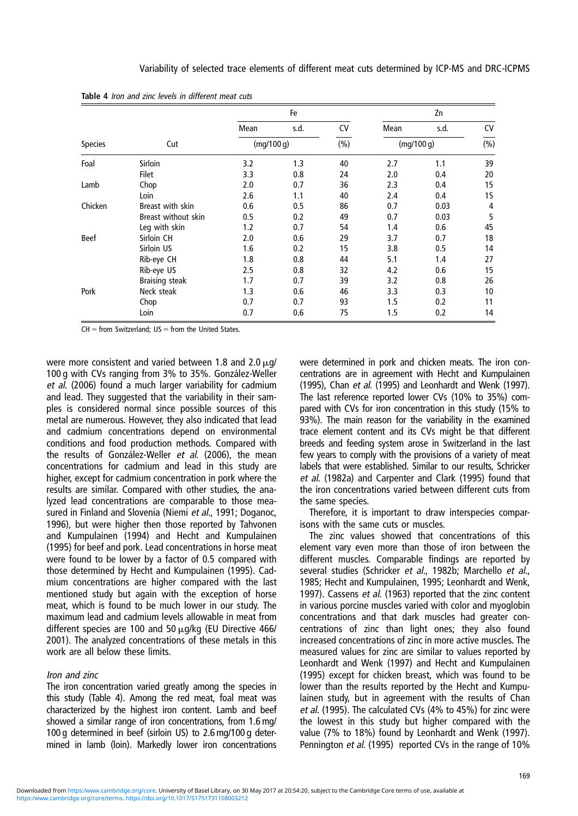|             |                       |            | Fe   |     |            | Zn   |      |
|-------------|-----------------------|------------|------|-----|------------|------|------|
|             |                       | Mean       | s.d. | CV  | Mean       | s.d. | CV   |
| Species     | Cut                   | (mq/100 q) |      | (%) | (mq/100 q) |      | (% ) |
| Foal        | Sirloin               | 3.2        | 1.3  | 40  | 2.7        | 1.1  | 39   |
|             | Filet                 | 3.3        | 0.8  | 24  | 2.0        | 0.4  | 20   |
| Lamb        | Chop                  | 2.0        | 0.7  | 36  | 2.3        | 0.4  | 15   |
|             | Loin                  | 2.6        | 1.1  | 40  | 2.4        | 0.4  | 15   |
| Chicken     | Breast with skin      | 0.6        | 0.5  | 86  | 0.7        | 0.03 | 4    |
|             | Breast without skin   | 0.5        | 0.2  | 49  | 0.7        | 0.03 | 5    |
|             | Leg with skin         | 1.2        | 0.7  | 54  | 1.4        | 0.6  | 45   |
| <b>Beef</b> | Sirloin CH            | 2.0        | 0.6  | 29  | 3.7        | 0.7  | 18   |
|             | Sirloin US            | 1.6        | 0.2  | 15  | 3.8        | 0.5  | 14   |
|             | Rib-eye CH            | 1.8        | 0.8  | 44  | 5.1        | 1.4  | 27   |
|             | Rib-eye US            | 2.5        | 0.8  | 32  | 4.2        | 0.6  | 15   |
|             | <b>Braising steak</b> | 1.7        | 0.7  | 39  | 3.2        | 0.8  | 26   |
| Pork        | Neck steak            | 1.3        | 0.6  | 46  | 3.3        | 0.3  | 10   |
|             | Chop                  | 0.7        | 0.7  | 93  | 1.5        | 0.2  | 11   |
|             | Loin                  | 0.7        | 0.6  | 75  | 1.5        | 0.2  | 14   |

Table 4 Iron and zinc levels in different meat cuts

 $CH =$  from Switzerland;  $US =$  from the United States.

were more consistent and varied between 1.8 and 2.0  $\mu$ g/ 100 g with CVs ranging from 3% to 35%. González-Weller et al. (2006) found a much larger variability for cadmium and lead. They suggested that the variability in their samples is considered normal since possible sources of this metal are numerous. However, they also indicated that lead and cadmium concentrations depend on environmental conditions and food production methods. Compared with the results of González-Weller et al. (2006), the mean concentrations for cadmium and lead in this study are higher, except for cadmium concentration in pork where the results are similar. Compared with other studies, the analyzed lead concentrations are comparable to those measured in Finland and Slovenia (Niemi et al., 1991; Doganoc, 1996), but were higher then those reported by Tahvonen and Kumpulainen (1994) and Hecht and Kumpulainen (1995) for beef and pork. Lead concentrations in horse meat were found to be lower by a factor of 0.5 compared with those determined by Hecht and Kumpulainen (1995). Cadmium concentrations are higher compared with the last mentioned study but again with the exception of horse meat, which is found to be much lower in our study. The maximum lead and cadmium levels allowable in meat from different species are 100 and 50  $\mu$ g/kg (EU Directive 466/ 2001). The analyzed concentrations of these metals in this work are all below these limits.

#### Iron and zinc

The iron concentration varied greatly among the species in this study (Table 4). Among the red meat, foal meat was characterized by the highest iron content. Lamb and beef showed a similar range of iron concentrations, from 1.6 mg/ 100 g determined in beef (sirloin US) to 2.6 mg/100 g determined in lamb (loin). Markedly lower iron concentrations were determined in pork and chicken meats. The iron concentrations are in agreement with Hecht and Kumpulainen (1995), Chan et al. (1995) and Leonhardt and Wenk (1997). The last reference reported lower CVs (10% to 35%) compared with CVs for iron concentration in this study (15% to 93%). The main reason for the variability in the examined trace element content and its CVs might be that different breeds and feeding system arose in Switzerland in the last few years to comply with the provisions of a variety of meat labels that were established. Similar to our results, Schricker et al. (1982a) and Carpenter and Clark (1995) found that the iron concentrations varied between different cuts from the same species.

Therefore, it is important to draw interspecies comparisons with the same cuts or muscles.

The zinc values showed that concentrations of this element vary even more than those of iron between the different muscles. Comparable findings are reported by several studies (Schricker et al., 1982b; Marchello et al., 1985; Hecht and Kumpulainen, 1995; Leonhardt and Wenk, 1997). Cassens et al. (1963) reported that the zinc content in various porcine muscles varied with color and myoglobin concentrations and that dark muscles had greater concentrations of zinc than light ones; they also found increased concentrations of zinc in more active muscles. The measured values for zinc are similar to values reported by Leonhardt and Wenk (1997) and Hecht and Kumpulainen (1995) except for chicken breast, which was found to be lower than the results reported by the Hecht and Kumpulainen study, but in agreement with the results of Chan et al. (1995). The calculated CVs (4% to 45%) for zinc were the lowest in this study but higher compared with the value (7% to 18%) found by Leonhardt and Wenk (1997). Pennington et al. (1995) reported CVs in the range of 10%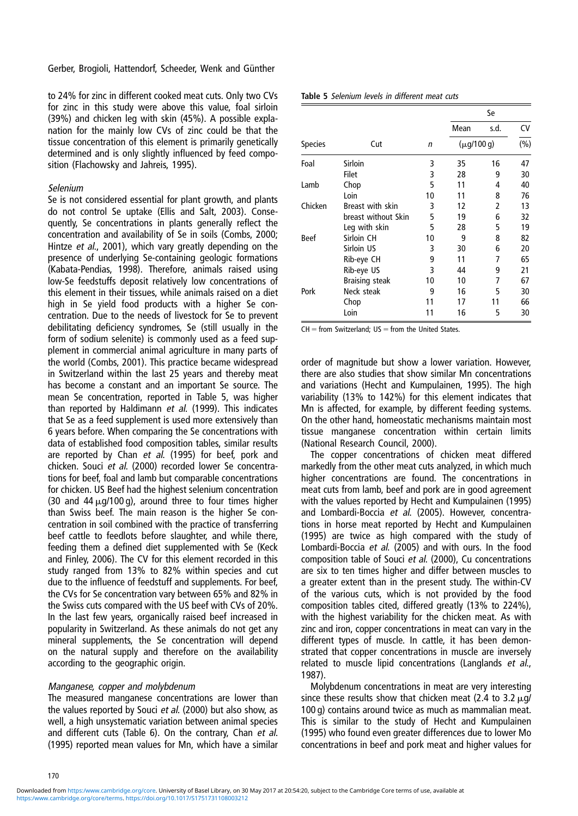Gerber, Brogioli, Hattendorf, Scheeder, Wenk and Günther

to 24% for zinc in different cooked meat cuts. Only two CVs for zinc in this study were above this value, foal sirloin (39%) and chicken leg with skin (45%). A possible explanation for the mainly low CVs of zinc could be that the tissue concentration of this element is primarily genetically determined and is only slightly influenced by feed composition (Flachowsky and Jahreis, 1995).

#### Selenium

Se is not considered essential for plant growth, and plants do not control Se uptake (Ellis and Salt, 2003). Consequently, Se concentrations in plants generally reflect the concentration and availability of Se in soils (Combs, 2000; Hintze et al., 2001), which vary greatly depending on the presence of underlying Se-containing geologic formations (Kabata-Pendias, 1998). Therefore, animals raised using low-Se feedstuffs deposit relatively low concentrations of this element in their tissues, while animals raised on a diet high in Se yield food products with a higher Se concentration. Due to the needs of livestock for Se to prevent debilitating deficiency syndromes, Se (still usually in the form of sodium selenite) is commonly used as a feed supplement in commercial animal agriculture in many parts of the world (Combs, 2001). This practice became widespread in Switzerland within the last 25 years and thereby meat has become a constant and an important Se source. The mean Se concentration, reported in Table 5, was higher than reported by Haldimann et al. (1999). This indicates that Se as a feed supplement is used more extensively than 6 years before. When comparing the Se concentrations with data of established food composition tables, similar results are reported by Chan et al. (1995) for beef, pork and chicken. Souci et al. (2000) recorded lower Se concentrations for beef, foal and lamb but comparable concentrations for chicken. US Beef had the highest selenium concentration (30 and 44  $\mu$ g/100 g), around three to four times higher than Swiss beef. The main reason is the higher Se concentration in soil combined with the practice of transferring beef cattle to feedlots before slaughter, and while there, feeding them a defined diet supplemented with Se (Keck and Finley, 2006). The CV for this element recorded in this study ranged from 13% to 82% within species and cut due to the influence of feedstuff and supplements. For beef, the CVs for Se concentration vary between 65% and 82% in the Swiss cuts compared with the US beef with CVs of 20%. In the last few years, organically raised beef increased in popularity in Switzerland. As these animals do not get any mineral supplements, the Se concentration will depend on the natural supply and therefore on the availability according to the geographic origin.

#### Manganese, copper and molybdenum

The measured manganese concentrations are lower than the values reported by Souci et al. (2000) but also show, as well, a high unsystematic variation between animal species and different cuts (Table 6). On the contrary, Chan et al. (1995) reported mean values for Mn, which have a similar

| Table 5 Selenium levels in different meat cuts |  |
|------------------------------------------------|--|
|------------------------------------------------|--|

|                |                       |    |                 | Se   |         |  |  |
|----------------|-----------------------|----|-----------------|------|---------|--|--|
|                |                       |    | Mean            | s.d. | CV      |  |  |
| <b>Species</b> | Cut                   | n  | $(\mu q/100 q)$ |      | $(\% )$ |  |  |
| Foal           | Sirloin               | 3  | 35              | 16   | 47      |  |  |
|                | <b>Filet</b>          | 3  | 28              | 9    | 30      |  |  |
| Lamb           | Chop                  | 5  | 11              | 4    | 40      |  |  |
|                | Loin                  | 10 | 11              | 8    | 76      |  |  |
| Chicken        | Breast with skin      | 3  | 12              | 2    | 13      |  |  |
|                | breast without Skin   | 5  | 19              | 6    | 32      |  |  |
|                | Leg with skin         | 5  | 28              | 5    | 19      |  |  |
| <b>Beef</b>    | Sirloin CH            | 10 | 9               | 8    | 82      |  |  |
|                | Sirloin US            | 3  | 30              | 6    | 20      |  |  |
|                | Rib-eye CH            | 9  | 11              | 7    | 65      |  |  |
|                | Rib-eye US            | 3  | 44              | 9    | 21      |  |  |
|                | <b>Braising steak</b> | 10 | 10              | 7    | 67      |  |  |
| Pork           | Neck steak            | 9  | 16              | 5    | 30      |  |  |
|                | Chop                  | 11 | 17              | 11   | 66      |  |  |
|                | Loin                  | 11 | 16              | 5    | 30      |  |  |

 $CH =$  from Switzerland;  $US =$  from the United States.

order of magnitude but show a lower variation. However, there are also studies that show similar Mn concentrations and variations (Hecht and Kumpulainen, 1995). The high variability (13% to 142%) for this element indicates that Mn is affected, for example, by different feeding systems. On the other hand, homeostatic mechanisms maintain most tissue manganese concentration within certain limits (National Research Council, 2000).

The copper concentrations of chicken meat differed markedly from the other meat cuts analyzed, in which much higher concentrations are found. The concentrations in meat cuts from lamb, beef and pork are in good agreement with the values reported by Hecht and Kumpulainen (1995) and Lombardi-Boccia et al. (2005). However, concentrations in horse meat reported by Hecht and Kumpulainen (1995) are twice as high compared with the study of Lombardi-Boccia et al. (2005) and with ours. In the food composition table of Souci et al. (2000), Cu concentrations are six to ten times higher and differ between muscles to a greater extent than in the present study. The within-CV of the various cuts, which is not provided by the food composition tables cited, differed greatly (13% to 224%), with the highest variability for the chicken meat. As with zinc and iron, copper concentrations in meat can vary in the different types of muscle. In cattle, it has been demonstrated that copper concentrations in muscle are inversely related to muscle lipid concentrations (Langlands et al., 1987).

Molybdenum concentrations in meat are very interesting since these results show that chicken meat (2.4 to 3.2  $\mu$ g/ 100 g) contains around twice as much as mammalian meat. This is similar to the study of Hecht and Kumpulainen (1995) who found even greater differences due to lower Mo concentrations in beef and pork meat and higher values for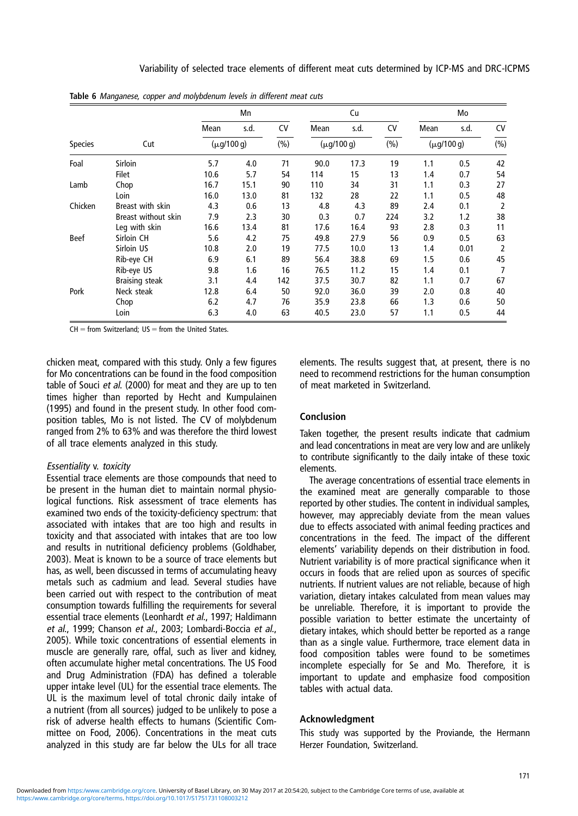|                |                     | Mn              |      |     |      | Cu              |     |                 | Mo   |                |  |
|----------------|---------------------|-----------------|------|-----|------|-----------------|-----|-----------------|------|----------------|--|
|                |                     | Mean            | s.d. | CV  | Mean | s.d.            | CV  | Mean            | s.d. | <b>CV</b>      |  |
| <b>Species</b> | Cut                 | $(\mu q/100 q)$ |      | (%) |      | $(\mu q/100 q)$ |     | $(\mu q/100 q)$ |      | (%)            |  |
| Foal           | Sirloin             | 5.7             | 4.0  | 71  | 90.0 | 17.3            | 19  | 1.1             | 0.5  | 42             |  |
|                | <b>Filet</b>        | 10.6            | 5.7  | 54  | 114  | 15              | 13  | 1.4             | 0.7  | 54             |  |
| Lamb           | Chop                | 16.7            | 15.1 | 90  | 110  | 34              | 31  | 1.1             | 0.3  | 27             |  |
|                | Loin                | 16.0            | 13.0 | 81  | 132  | 28              | 22  | 1.1             | 0.5  | 48             |  |
| Chicken        | Breast with skin    | 4.3             | 0.6  | 13  | 4.8  | 4.3             | 89  | 2.4             | 0.1  | 2              |  |
|                | Breast without skin | 7.9             | 2.3  | 30  | 0.3  | 0.7             | 224 | 3.2             | 1.2  | 38             |  |
|                | Leg with skin       | 16.6            | 13.4 | 81  | 17.6 | 16.4            | 93  | 2.8             | 0.3  | 11             |  |
| <b>Beef</b>    | Sirloin CH          | 5.6             | 4.2  | 75  | 49.8 | 27.9            | 56  | 0.9             | 0.5  | 63             |  |
|                | Sirloin US          | 10.8            | 2.0  | 19  | 77.5 | 10.0            | 13  | 1.4             | 0.01 | $\overline{2}$ |  |
|                | Rib-eye CH          | 6.9             | 6.1  | 89  | 56.4 | 38.8            | 69  | 1.5             | 0.6  | 45             |  |
|                | Rib-eye US          | 9.8             | 1.6  | 16  | 76.5 | 11.2            | 15  | 1.4             | 0.1  |                |  |
|                | Braising steak      | 3.1             | 4.4  | 142 | 37.5 | 30.7            | 82  | 1.1             | 0.7  | 67             |  |
| Pork           | Neck steak          | 12.8            | 6.4  | 50  | 92.0 | 36.0            | 39  | 2.0             | 0.8  | 40             |  |
|                | Chop                | 6.2             | 4.7  | 76  | 35.9 | 23.8            | 66  | 1.3             | 0.6  | 50             |  |
|                | Loin                | 6.3             | 4.0  | 63  | 40.5 | 23.0            | 57  | 1.1             | 0.5  | 44             |  |

Table 6 Manganese, copper and molybdenum levels in different meat cuts

 $CH =$  from Switzerland;  $US =$  from the United States.

chicken meat, compared with this study. Only a few figures for Mo concentrations can be found in the food composition table of Souci et al. (2000) for meat and they are up to ten times higher than reported by Hecht and Kumpulainen (1995) and found in the present study. In other food composition tables, Mo is not listed. The CV of molybdenum ranged from 2% to 63% and was therefore the third lowest of all trace elements analyzed in this study.

#### Essentiality v. toxicity

Essential trace elements are those compounds that need to be present in the human diet to maintain normal physiological functions. Risk assessment of trace elements has examined two ends of the toxicity-deficiency spectrum: that associated with intakes that are too high and results in toxicity and that associated with intakes that are too low and results in nutritional deficiency problems (Goldhaber, 2003). Meat is known to be a source of trace elements but has, as well, been discussed in terms of accumulating heavy metals such as cadmium and lead. Several studies have been carried out with respect to the contribution of meat consumption towards fulfilling the requirements for several essential trace elements (Leonhardt et al., 1997; Haldimann et al., 1999; Chanson et al., 2003; Lombardi-Boccia et al., 2005). While toxic concentrations of essential elements in muscle are generally rare, offal, such as liver and kidney, often accumulate higher metal concentrations. The US Food and Drug Administration (FDA) has defined a tolerable upper intake level (UL) for the essential trace elements. The UL is the maximum level of total chronic daily intake of a nutrient (from all sources) judged to be unlikely to pose a risk of adverse health effects to humans (Scientific Committee on Food, 2006). Concentrations in the meat cuts analyzed in this study are far below the ULs for all trace

elements. The results suggest that, at present, there is no need to recommend restrictions for the human consumption of meat marketed in Switzerland.

#### Conclusion

Taken together, the present results indicate that cadmium and lead concentrations in meat are very low and are unlikely to contribute significantly to the daily intake of these toxic elements.

The average concentrations of essential trace elements in the examined meat are generally comparable to those reported by other studies. The content in individual samples, however, may appreciably deviate from the mean values due to effects associated with animal feeding practices and concentrations in the feed. The impact of the different elements' variability depends on their distribution in food. Nutrient variability is of more practical significance when it occurs in foods that are relied upon as sources of specific nutrients. If nutrient values are not reliable, because of high variation, dietary intakes calculated from mean values may be unreliable. Therefore, it is important to provide the possible variation to better estimate the uncertainty of dietary intakes, which should better be reported as a range than as a single value. Furthermore, trace element data in food composition tables were found to be sometimes incomplete especially for Se and Mo. Therefore, it is important to update and emphasize food composition tables with actual data.

#### Acknowledgment

This study was supported by the Proviande, the Hermann Herzer Foundation, Switzerland.